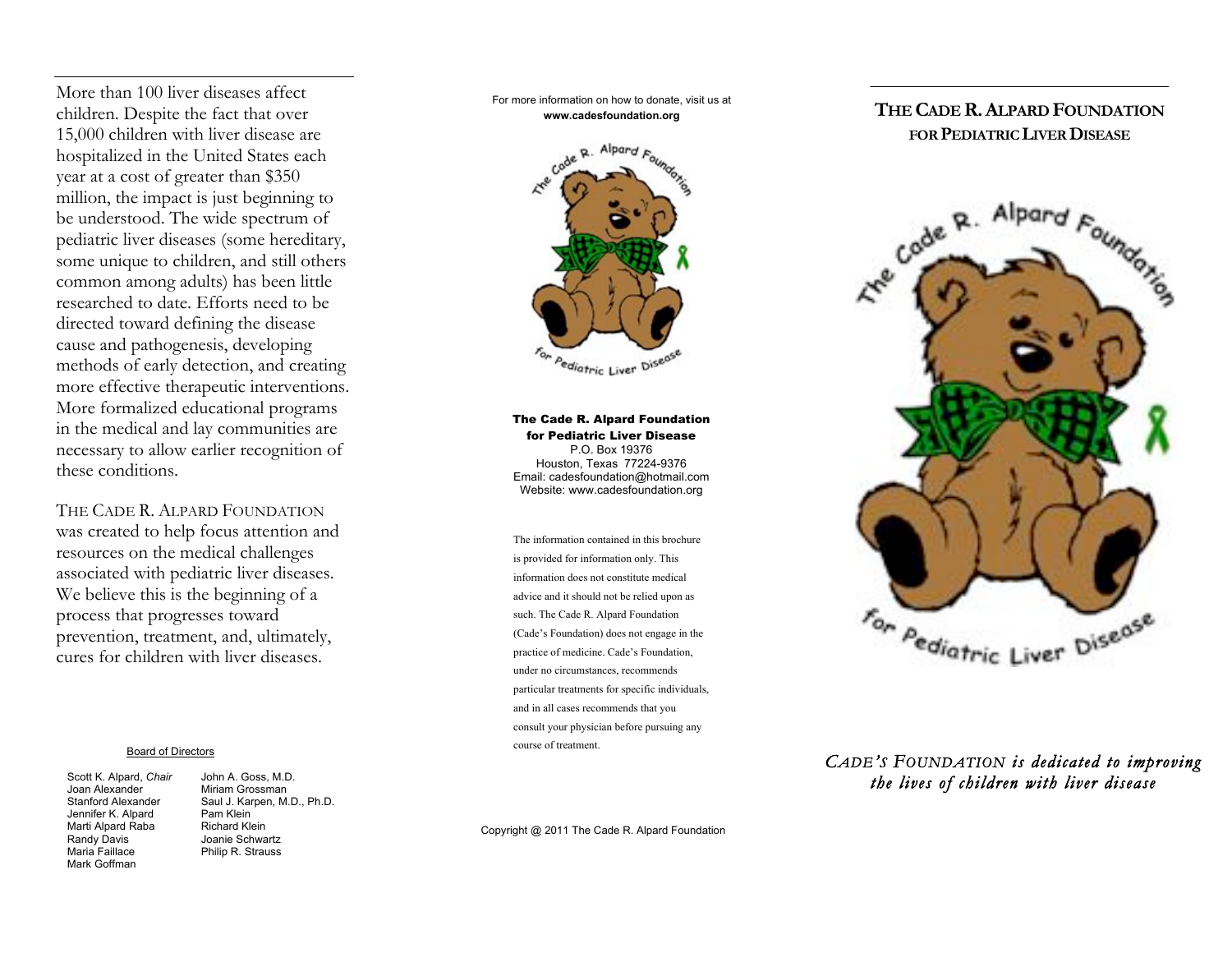More than 100 liver diseases affect children. Despite the fact that over 15,000 children with liver disease are hospitalized in the United States each year at a cost of greater than \$350 million, the impact is just beginning to be understood. The wide spectrum of pediatric liver diseases (some hereditary, some unique to children, and still others common among adults) has been little researched to date. Efforts need to be directed toward defining the disease cause and pathogenesis, developing methods of early detection, and creating more effective therapeutic interventions. More formalized educational programs in the medical and lay communities are necessary to allow earlier recognition of these conditions.

THE CADE R. ALPARD FOUNDATION was created to help focus attention and resources on the medical challenges associated with pediatric liver diseases. We believe this is the beginning of a process that progresses toward prevention, treatment, and, ultimately, cures for children with liver diseases.

#### Board of Directors

Scott K. Alpard, *Chair* John A. Goss, M.D. Joan Alexander Miriam Grossman<br>Stanford Alexander Saul J. Karpen. M. Jennifer K. Alpard Pam Klein<br>Marti Alpard Raba Richard Klein Marti Alpard Raba<br>Randy Davis Randy Davis **Joanie Schwartz**<br>
Maria Faillace **Maria Philip R. Strauss** Mark Goffman

Saul J. Karpen, M.D., Ph.D.<br>Pam Klein Philip R. Strauss

For more information on how to donate, visit us at **www.cadesfoundation.org**



The Cade R. Alpard Foundation for Pediatric Liver Disease P.O. Box 19376 Houston, Texas 77224-9376 Email: cadesfoundation@hotmail.com Website: www.cadesfoundation.org

The information contained in this brochure is provided for information only. This information does not constitute medical advice and it should not be relied upon as such. The Cade R. Alpard Foundation (Cade's Foundation) does not engage in the practice of medicine. Cade's Foundation, under no circumstances, recommends particular treatments for specific individuals, and in all cases recommends that you consult your physician before pursuing any course of treatment.

Copyright @ 2011 The Cade R. Alpard Foundation

#### **THE CADE R.ALPARD FOUNDATION FOR PEDIATRIC LIVER DISEASE**



#### *CADE'S FOUNDATION is dedicated to improving the lives of children with liver disease*